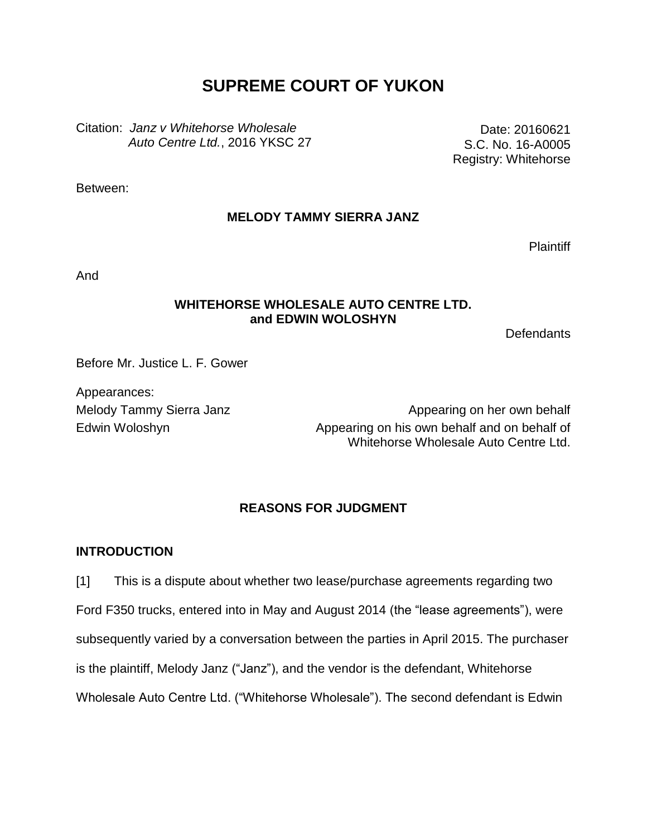# **SUPREME COURT OF YUKON**

Citation: *Janz v Whitehorse Wholesale Auto Centre Ltd.*, 2016 YKSC 27

Date: 20160621 S.C. No. 16-A0005 Registry: Whitehorse

Between:

### **MELODY TAMMY SIERRA JANZ**

**Plaintiff** 

And

#### **WHITEHORSE WHOLESALE AUTO CENTRE LTD. and EDWIN WOLOSHYN**

Defendants

Before Mr. Justice L. F. Gower

Appearances: Melody Tammy Sierra Janz Edwin Woloshyn

Appearing on her own behalf Appearing on his own behalf and on behalf of Whitehorse Wholesale Auto Centre Ltd.

# **REASONS FOR JUDGMENT**

### **INTRODUCTION**

[1] This is a dispute about whether two lease/purchase agreements regarding two Ford F350 trucks, entered into in May and August 2014 (the "lease agreements"), were subsequently varied by a conversation between the parties in April 2015. The purchaser is the plaintiff, Melody Janz ("Janz"), and the vendor is the defendant, Whitehorse Wholesale Auto Centre Ltd. ("Whitehorse Wholesale"). The second defendant is Edwin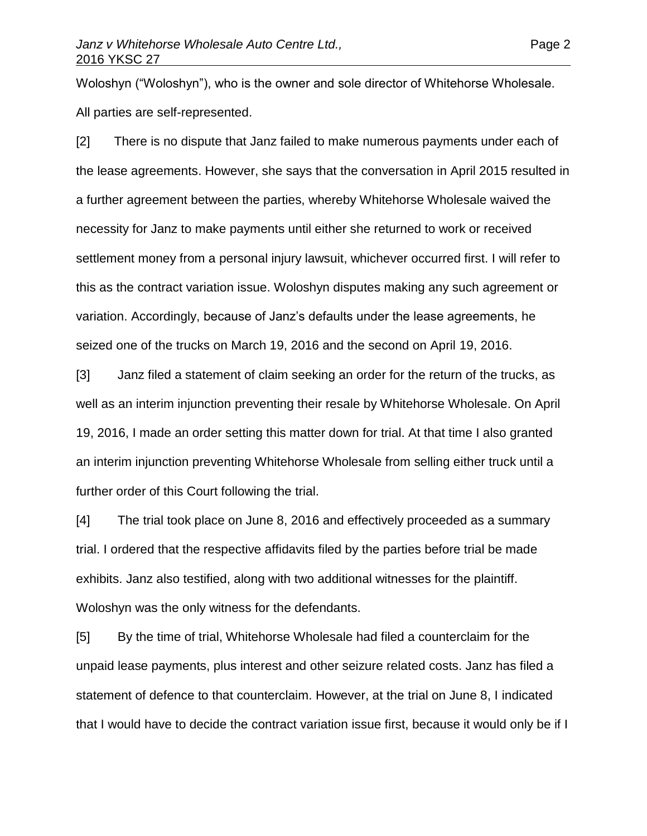Woloshyn ("Woloshyn"), who is the owner and sole director of Whitehorse Wholesale. All parties are self-represented.

[2] There is no dispute that Janz failed to make numerous payments under each of the lease agreements. However, she says that the conversation in April 2015 resulted in a further agreement between the parties, whereby Whitehorse Wholesale waived the necessity for Janz to make payments until either she returned to work or received settlement money from a personal injury lawsuit, whichever occurred first. I will refer to this as the contract variation issue. Woloshyn disputes making any such agreement or variation. Accordingly, because of Janz's defaults under the lease agreements, he seized one of the trucks on March 19, 2016 and the second on April 19, 2016.

[3] Janz filed a statement of claim seeking an order for the return of the trucks, as well as an interim injunction preventing their resale by Whitehorse Wholesale. On April 19, 2016, I made an order setting this matter down for trial. At that time I also granted an interim injunction preventing Whitehorse Wholesale from selling either truck until a further order of this Court following the trial.

[4] The trial took place on June 8, 2016 and effectively proceeded as a summary trial. I ordered that the respective affidavits filed by the parties before trial be made exhibits. Janz also testified, along with two additional witnesses for the plaintiff. Woloshyn was the only witness for the defendants.

[5] By the time of trial, Whitehorse Wholesale had filed a counterclaim for the unpaid lease payments, plus interest and other seizure related costs. Janz has filed a statement of defence to that counterclaim. However, at the trial on June 8, I indicated that I would have to decide the contract variation issue first, because it would only be if I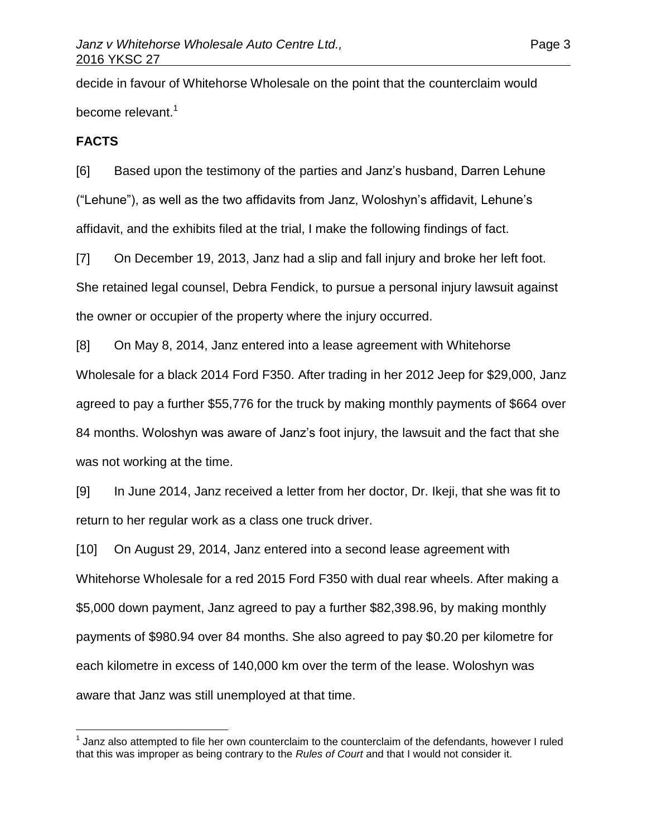decide in favour of Whitehorse Wholesale on the point that the counterclaim would become relevant.<sup>1</sup>

#### **FACTS**

 $\overline{a}$ 

[6] Based upon the testimony of the parties and Janz's husband, Darren Lehune ("Lehune"), as well as the two affidavits from Janz, Woloshyn's affidavit, Lehune's affidavit, and the exhibits filed at the trial, I make the following findings of fact.

[7] On December 19, 2013, Janz had a slip and fall injury and broke her left foot. She retained legal counsel, Debra Fendick, to pursue a personal injury lawsuit against the owner or occupier of the property where the injury occurred.

[8] On May 8, 2014, Janz entered into a lease agreement with Whitehorse Wholesale for a black 2014 Ford F350. After trading in her 2012 Jeep for \$29,000, Janz agreed to pay a further \$55,776 for the truck by making monthly payments of \$664 over 84 months. Woloshyn was aware of Janz's foot injury, the lawsuit and the fact that she was not working at the time.

[9] In June 2014, Janz received a letter from her doctor, Dr. Ikeji, that she was fit to return to her regular work as a class one truck driver.

[10] On August 29, 2014, Janz entered into a second lease agreement with Whitehorse Wholesale for a red 2015 Ford F350 with dual rear wheels. After making a \$5,000 down payment, Janz agreed to pay a further \$82,398.96, by making monthly payments of \$980.94 over 84 months. She also agreed to pay \$0.20 per kilometre for each kilometre in excess of 140,000 km over the term of the lease. Woloshyn was aware that Janz was still unemployed at that time.

 $1$  Janz also attempted to file her own counterclaim to the counterclaim of the defendants, however I ruled that this was improper as being contrary to the *Rules of Court* and that I would not consider it.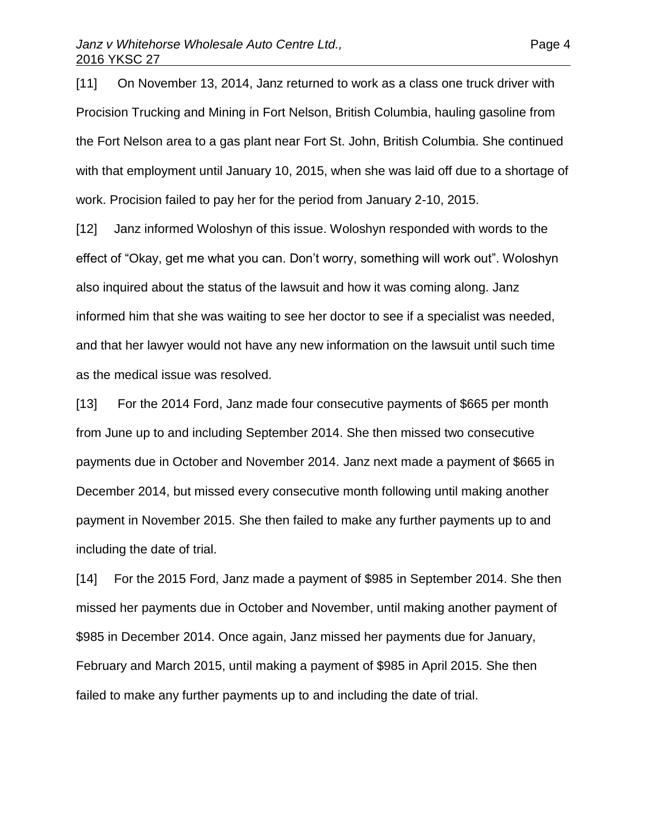[11] On November 13, 2014, Janz returned to work as a class one truck driver with Procision Trucking and Mining in Fort Nelson, British Columbia, hauling gasoline from the Fort Nelson area to a gas plant near Fort St. John, British Columbia. She continued with that employment until January 10, 2015, when she was laid off due to a shortage of work. Procision failed to pay her for the period from January 2-10, 2015.

[12] Janz informed Woloshyn of this issue. Woloshyn responded with words to the effect of "Okay, get me what you can. Don't worry, something will work out". Woloshyn also inquired about the status of the lawsuit and how it was coming along. Janz informed him that she was waiting to see her doctor to see if a specialist was needed, and that her lawyer would not have any new information on the lawsuit until such time as the medical issue was resolved.

[13] For the 2014 Ford, Janz made four consecutive payments of \$665 per month from June up to and including September 2014. She then missed two consecutive payments due in October and November 2014. Janz next made a payment of \$665 in December 2014, but missed every consecutive month following until making another payment in November 2015. She then failed to make any further payments up to and including the date of trial.

[14] For the 2015 Ford, Janz made a payment of \$985 in September 2014. She then missed her payments due in October and November, until making another payment of \$985 in December 2014. Once again, Janz missed her payments due for January, February and March 2015, until making a payment of \$985 in April 2015. She then failed to make any further payments up to and including the date of trial.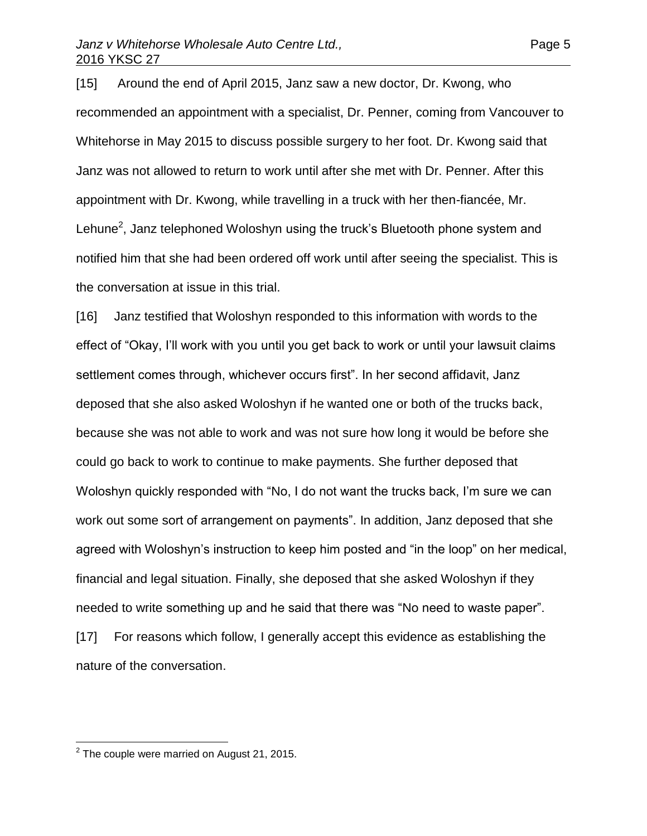[15] Around the end of April 2015, Janz saw a new doctor, Dr. Kwong, who recommended an appointment with a specialist, Dr. Penner, coming from Vancouver to Whitehorse in May 2015 to discuss possible surgery to her foot. Dr. Kwong said that Janz was not allowed to return to work until after she met with Dr. Penner. After this appointment with Dr. Kwong, while travelling in a truck with her then-fiancée, Mr. Lehune<sup>2</sup>, Janz telephoned Woloshyn using the truck's Bluetooth phone system and notified him that she had been ordered off work until after seeing the specialist. This is the conversation at issue in this trial.

[16] Janz testified that Woloshyn responded to this information with words to the effect of "Okay, I'll work with you until you get back to work or until your lawsuit claims settlement comes through, whichever occurs first". In her second affidavit, Janz deposed that she also asked Woloshyn if he wanted one or both of the trucks back, because she was not able to work and was not sure how long it would be before she could go back to work to continue to make payments. She further deposed that Woloshyn quickly responded with "No, I do not want the trucks back, I'm sure we can work out some sort of arrangement on payments". In addition, Janz deposed that she agreed with Woloshyn's instruction to keep him posted and "in the loop" on her medical, financial and legal situation. Finally, she deposed that she asked Woloshyn if they needed to write something up and he said that there was "No need to waste paper". [17] For reasons which follow, I generally accept this evidence as establishing the nature of the conversation.

 2 The couple were married on August 21, 2015.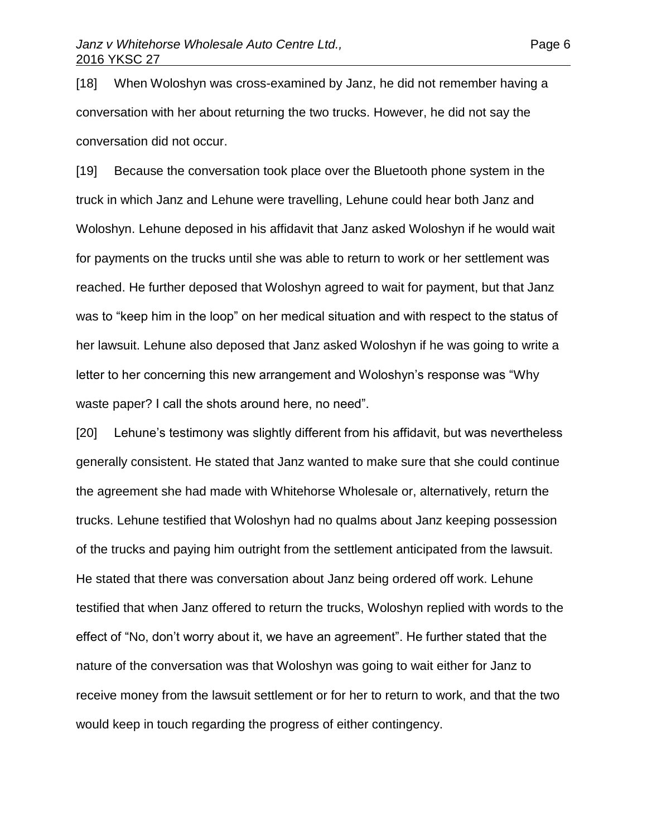[18] When Woloshyn was cross-examined by Janz, he did not remember having a conversation with her about returning the two trucks. However, he did not say the conversation did not occur.

[19] Because the conversation took place over the Bluetooth phone system in the truck in which Janz and Lehune were travelling, Lehune could hear both Janz and Woloshyn. Lehune deposed in his affidavit that Janz asked Woloshyn if he would wait for payments on the trucks until she was able to return to work or her settlement was reached. He further deposed that Woloshyn agreed to wait for payment, but that Janz was to "keep him in the loop" on her medical situation and with respect to the status of her lawsuit. Lehune also deposed that Janz asked Woloshyn if he was going to write a letter to her concerning this new arrangement and Woloshyn's response was "Why waste paper? I call the shots around here, no need".

[20] Lehune's testimony was slightly different from his affidavit, but was nevertheless generally consistent. He stated that Janz wanted to make sure that she could continue the agreement she had made with Whitehorse Wholesale or, alternatively, return the trucks. Lehune testified that Woloshyn had no qualms about Janz keeping possession of the trucks and paying him outright from the settlement anticipated from the lawsuit. He stated that there was conversation about Janz being ordered off work. Lehune testified that when Janz offered to return the trucks, Woloshyn replied with words to the effect of "No, don't worry about it, we have an agreement". He further stated that the nature of the conversation was that Woloshyn was going to wait either for Janz to receive money from the lawsuit settlement or for her to return to work, and that the two would keep in touch regarding the progress of either contingency.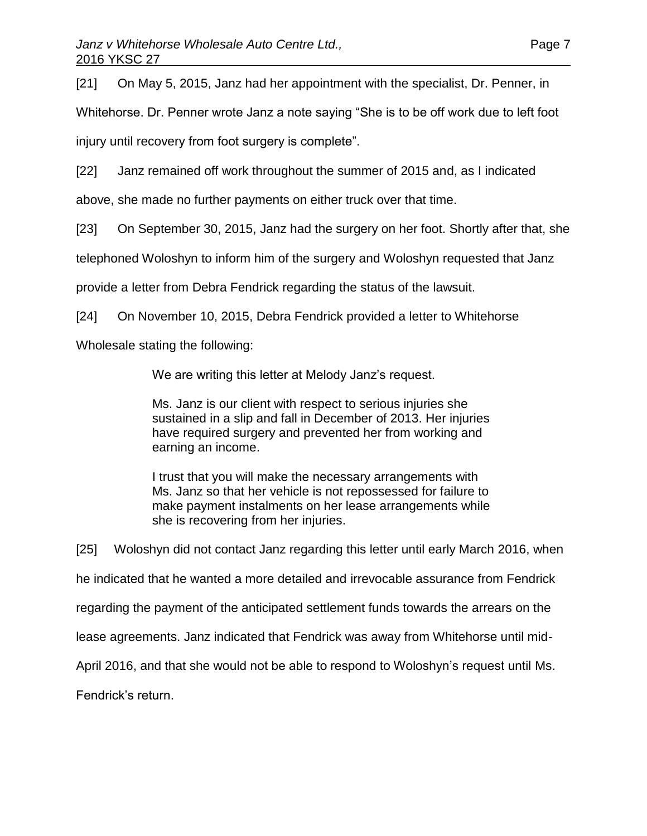[21] On May 5, 2015, Janz had her appointment with the specialist, Dr. Penner, in

Whitehorse. Dr. Penner wrote Janz a note saying "She is to be off work due to left foot

injury until recovery from foot surgery is complete".

[22] Janz remained off work throughout the summer of 2015 and, as I indicated

above, she made no further payments on either truck over that time.

[23] On September 30, 2015, Janz had the surgery on her foot. Shortly after that, she

telephoned Woloshyn to inform him of the surgery and Woloshyn requested that Janz

provide a letter from Debra Fendrick regarding the status of the lawsuit.

[24] On November 10, 2015, Debra Fendrick provided a letter to Whitehorse

Wholesale stating the following:

We are writing this letter at Melody Janz's request.

Ms. Janz is our client with respect to serious injuries she sustained in a slip and fall in December of 2013. Her injuries have required surgery and prevented her from working and earning an income.

I trust that you will make the necessary arrangements with Ms. Janz so that her vehicle is not repossessed for failure to make payment instalments on her lease arrangements while she is recovering from her injuries.

[25] Woloshyn did not contact Janz regarding this letter until early March 2016, when

he indicated that he wanted a more detailed and irrevocable assurance from Fendrick

regarding the payment of the anticipated settlement funds towards the arrears on the

lease agreements. Janz indicated that Fendrick was away from Whitehorse until mid-

April 2016, and that she would not be able to respond to Woloshyn's request until Ms.

Fendrick's return.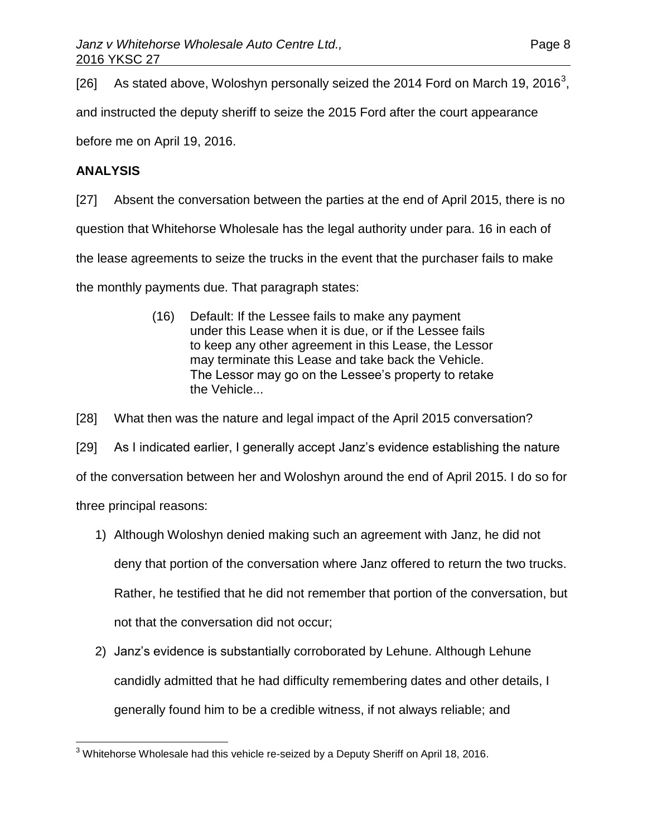[26] As stated above, Woloshyn personally seized the 2014 Ford on March 19, 2016<sup>3</sup>,

and instructed the deputy sheriff to seize the 2015 Ford after the court appearance

before me on April 19, 2016.

# **ANALYSIS**

[27] Absent the conversation between the parties at the end of April 2015, there is no

question that Whitehorse Wholesale has the legal authority under para. 16 in each of

the lease agreements to seize the trucks in the event that the purchaser fails to make

the monthly payments due. That paragraph states:

(16) Default: If the Lessee fails to make any payment under this Lease when it is due, or if the Lessee fails to keep any other agreement in this Lease, the Lessor may terminate this Lease and take back the Vehicle. The Lessor may go on the Lessee's property to retake the Vehicle...

[28] What then was the nature and legal impact of the April 2015 conversation?

[29] As I indicated earlier, I generally accept Janz's evidence establishing the nature of the conversation between her and Woloshyn around the end of April 2015. I do so for three principal reasons:

- 1) Although Woloshyn denied making such an agreement with Janz, he did not deny that portion of the conversation where Janz offered to return the two trucks. Rather, he testified that he did not remember that portion of the conversation, but not that the conversation did not occur;
- 2) Janz's evidence is substantially corroborated by Lehune. Although Lehune candidly admitted that he had difficulty remembering dates and other details, I generally found him to be a credible witness, if not always reliable; and

 $\overline{a}$ <sup>3</sup> Whitehorse Wholesale had this vehicle re-seized by a Deputy Sheriff on April 18, 2016.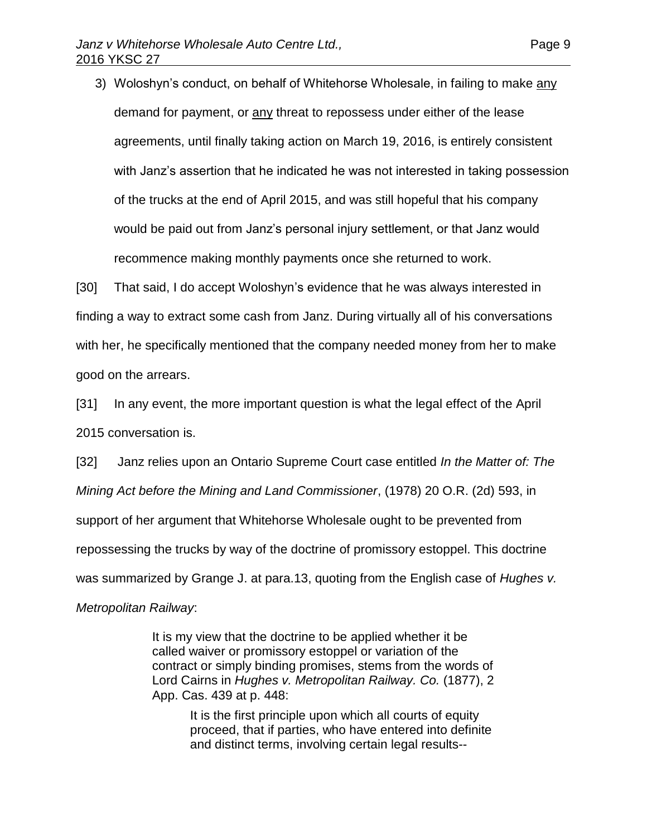3) Woloshyn's conduct, on behalf of Whitehorse Wholesale, in failing to make any demand for payment, or any threat to repossess under either of the lease agreements, until finally taking action on March 19, 2016, is entirely consistent with Janz's assertion that he indicated he was not interested in taking possession of the trucks at the end of April 2015, and was still hopeful that his company would be paid out from Janz's personal injury settlement, or that Janz would recommence making monthly payments once she returned to work.

[30] That said, I do accept Woloshyn's evidence that he was always interested in finding a way to extract some cash from Janz. During virtually all of his conversations with her, he specifically mentioned that the company needed money from her to make good on the arrears.

[31] In any event, the more important question is what the legal effect of the April 2015 conversation is.

[32] Janz relies upon an Ontario Supreme Court case entitled *In the Matter of: The Mining Act before the Mining and Land Commissioner*, (1978) 20 O.R. (2d) 593, in support of her argument that Whitehorse Wholesale ought to be prevented from repossessing the trucks by way of the doctrine of promissory estoppel. This doctrine was summarized by Grange J. at para.13, quoting from the English case of *Hughes v. Metropolitan Railway*:

> It is my view that the doctrine to be applied whether it be called waiver or promissory estoppel or variation of the contract or simply binding promises, stems from the words of Lord Cairns in *Hughes v. Metropolitan Railway. Co.* (1877), 2 App. Cas. 439 at p. 448:

> > It is the first principle upon which all courts of equity proceed, that if parties, who have entered into definite and distinct terms, involving certain legal results--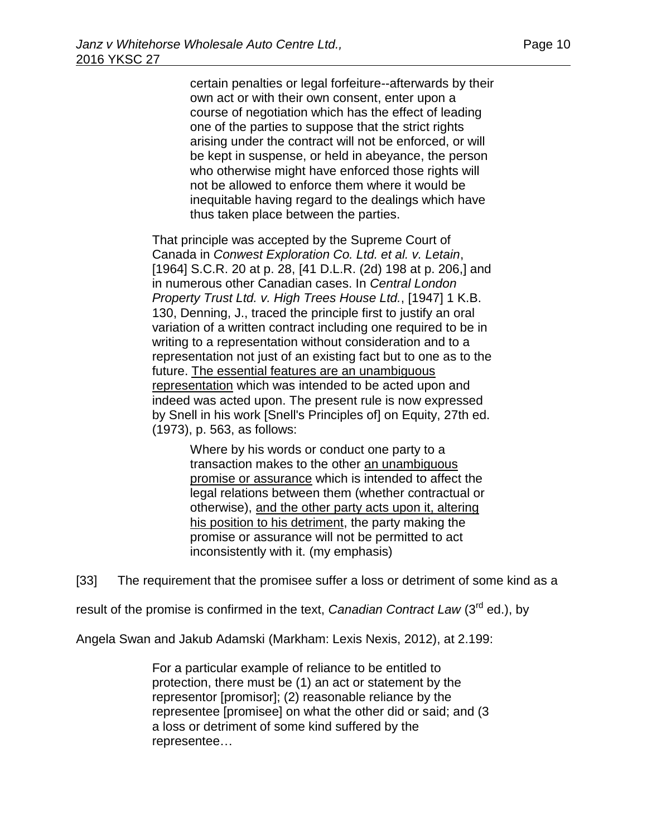certain penalties or legal forfeiture--afterwards by their own act or with their own consent, enter upon a course of negotiation which has the effect of leading one of the parties to suppose that the strict rights arising under the contract will not be enforced, or will be kept in suspense, or held in abeyance, the person who otherwise might have enforced those rights will not be allowed to enforce them where it would be inequitable having regard to the dealings which have thus taken place between the parties.

That principle was accepted by the Supreme Court of Canada in *Conwest Exploration Co. Ltd. et al. v. Letain*, [\[1964\] S.C.R. 20](http://www.lexisnexis.com/ca/legal/search/runRemoteLink.do?A=0.4803115670124103&bct=A&service=citation&risb=21_T24254823571&langcountry=CA&linkInfo=F%23CA%23SCR%23sel1%251964%25page%2520%25year%251964%25) at p. 28, [\[41 D.L.R. \(2d\) 198](http://www.lexisnexis.com/ca/legal/search/runRemoteLink.do?A=0.38601597740527016&bct=A&service=citation&risb=21_T24254823571&langcountry=CA&linkInfo=F%23CA%23DLR2%23vol%2541%25page%25198%25sel2%2541%25) at p. 206,] and in numerous other Canadian cases. In *Central London Property Trust Ltd. v. High Trees House Ltd.*, [1947] 1 K.B. 130, Denning, J., traced the principle first to justify an oral variation of a written contract including one required to be in writing to a representation without consideration and to a representation not just of an existing fact but to one as to the future. The essential features are an unambiguous representation which was intended to be acted upon and indeed was acted upon. The present rule is now expressed by Snell in his work [Snell's Principles of] on Equity, 27th ed. (1973), p. 563, as follows:

> Where by his words or conduct one party to a transaction makes to the other an unambiguous promise or assurance which is intended to affect the legal relations between them (whether contractual or otherwise), and the other party acts upon it, altering his position to his detriment, the party making the promise or assurance will not be permitted to act inconsistently with it. (my emphasis)

[33] The requirement that the promisee suffer a loss or detriment of some kind as a

result of the promise is confirmed in the text, *Canadian Contract Law* (3<sup>rd</sup> ed.), by

Angela Swan and Jakub Adamski (Markham: Lexis Nexis, 2012), at 2.199:

For a particular example of reliance to be entitled to protection, there must be (1) an act or statement by the representor [promisor]; (2) reasonable reliance by the representee [promisee] on what the other did or said; and (3 a loss or detriment of some kind suffered by the representee…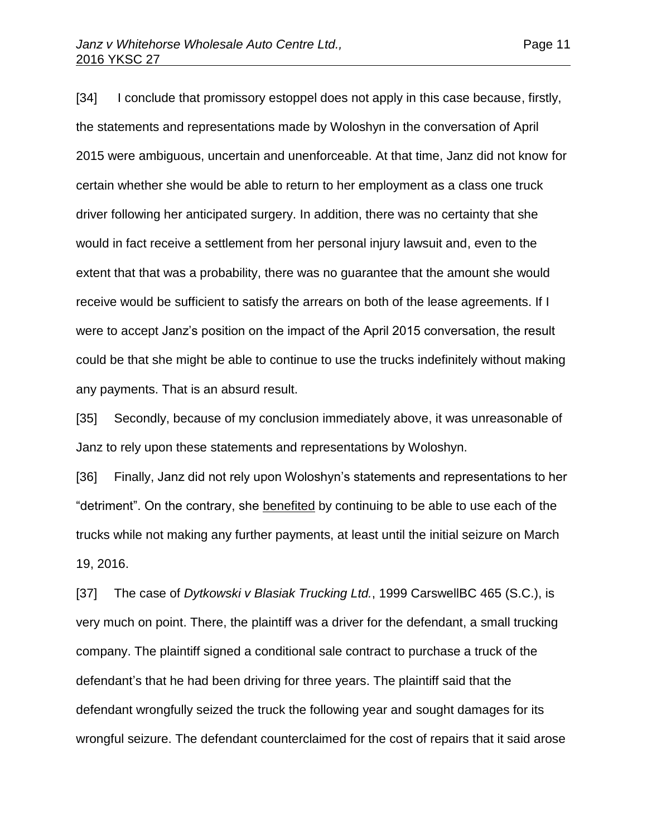[34] I conclude that promissory estoppel does not apply in this case because, firstly, the statements and representations made by Woloshyn in the conversation of April 2015 were ambiguous, uncertain and unenforceable. At that time, Janz did not know for certain whether she would be able to return to her employment as a class one truck driver following her anticipated surgery. In addition, there was no certainty that she would in fact receive a settlement from her personal injury lawsuit and, even to the extent that that was a probability, there was no guarantee that the amount she would receive would be sufficient to satisfy the arrears on both of the lease agreements. If I were to accept Janz's position on the impact of the April 2015 conversation, the result could be that she might be able to continue to use the trucks indefinitely without making any payments. That is an absurd result.

[35] Secondly, because of my conclusion immediately above, it was unreasonable of Janz to rely upon these statements and representations by Woloshyn.

[36] Finally, Janz did not rely upon Woloshyn's statements and representations to her "detriment". On the contrary, she benefited by continuing to be able to use each of the trucks while not making any further payments, at least until the initial seizure on March 19, 2016.

[37] The case of *Dytkowski v Blasiak Trucking Ltd.*, 1999 CarswellBC 465 (S.C.), is very much on point. There, the plaintiff was a driver for the defendant, a small trucking company. The plaintiff signed a conditional sale contract to purchase a truck of the defendant's that he had been driving for three years. The plaintiff said that the defendant wrongfully seized the truck the following year and sought damages for its wrongful seizure. The defendant counterclaimed for the cost of repairs that it said arose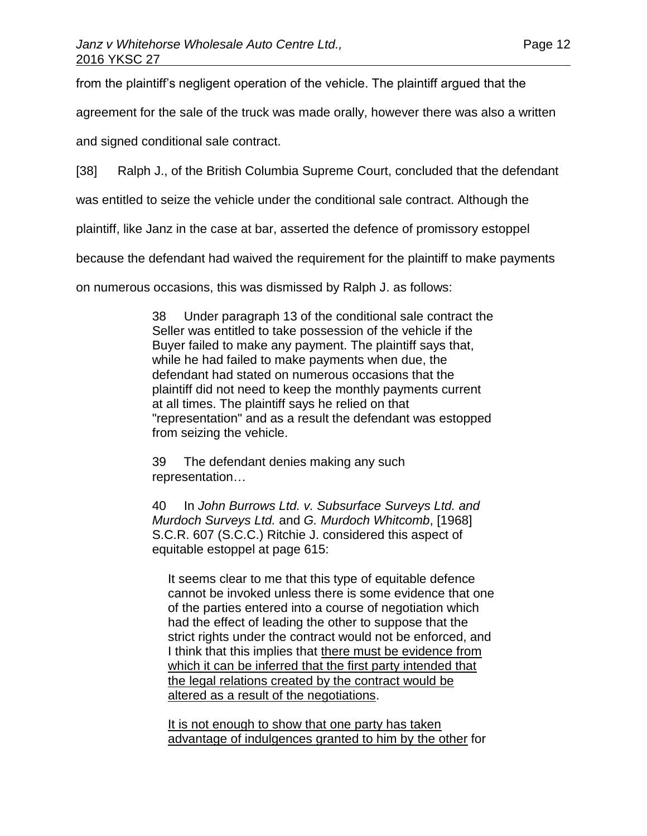from the plaintiff's negligent operation of the vehicle. The plaintiff argued that the

agreement for the sale of the truck was made orally, however there was also a written

and signed conditional sale contract.

[38] Ralph J., of the British Columbia Supreme Court, concluded that the defendant

was entitled to seize the vehicle under the conditional sale contract. Although the

plaintiff, like Janz in the case at bar, asserted the defence of promissory estoppel

because the defendant had waived the requirement for the plaintiff to make payments

on numerous occasions, this was dismissed by Ralph J. as follows:

38 Under paragraph 13 of the conditional sale contract the Seller was entitled to take possession of the vehicle if the Buyer failed to make any payment. The plaintiff says that, while he had failed to make payments when due, the defendant had stated on numerous occasions that the plaintiff did not need to keep the monthly payments current at all times. The plaintiff says he relied on that "representation" and as a result the defendant was estopped from seizing the vehicle.

39 The defendant denies making any such representation…

40 In *John Burrows Ltd. v. Subsurface Surveys Ltd. and Murdoch Surveys Ltd.* and *G. Murdoch Whitcomb*, [\[1968\]](http://www.lexisnexis.com/ca/legal/search/runRemoteLink.do?A=0.17268166252082517&bct=A&service=citation&risb=21_T24255124681&langcountry=CA&linkInfo=F%23CA%23SCR%23sel1%251968%25page%25607%25year%251968%25)  [S.C.R. 607](http://www.lexisnexis.com/ca/legal/search/runRemoteLink.do?A=0.17268166252082517&bct=A&service=citation&risb=21_T24255124681&langcountry=CA&linkInfo=F%23CA%23SCR%23sel1%251968%25page%25607%25year%251968%25) (S.C.C.) Ritchie J. considered this aspect of equitable estoppel at page 615:

It seems clear to me that this type of equitable defence cannot be invoked unless there is some evidence that one of the parties entered into a course of negotiation which had the effect of leading the other to suppose that the strict rights under the contract would not be enforced, and I think that this implies that there must be evidence from which it can be inferred that the first party intended that the legal relations created by the contract would be altered as a result of the negotiations.

It is not enough to show that one party has taken advantage of indulgences granted to him by the other for